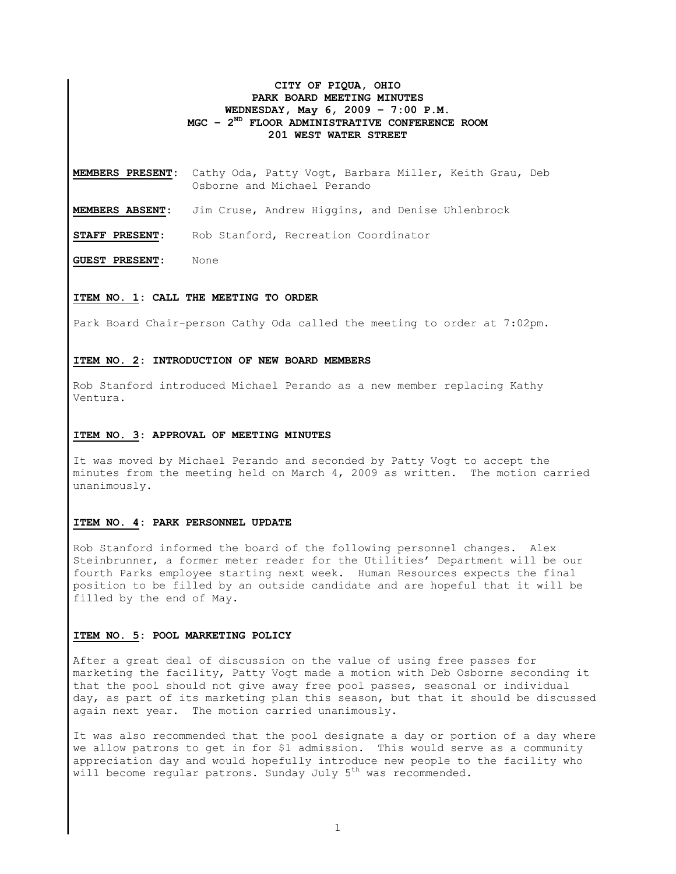# **CITY OF PIQUA, OHIO PARK BOARD MEETING MINUTES WEDNESDAY, May 6, 2009 – 7:00 P.M. MGC – 2ND FLOOR ADMINISTRATIVE CONFERENCE ROOM 201 WEST WATER STREET**

**MEMBERS PRESENT:** Cathy Oda, Patty Vogt, Barbara Miller, Keith Grau, Deb Osborne and Michael Perando

**MEMBERS ABSENT:** Jim Cruse, Andrew Higgins, and Denise Uhlenbrock

**STAFF PRESENT:** Rob Stanford, Recreation Coordinator

**GUEST PRESENT:** None

## **ITEM NO. 1: CALL THE MEETING TO ORDER**

Park Board Chair-person Cathy Oda called the meeting to order at 7:02pm.

### **ITEM NO. 2: INTRODUCTION OF NEW BOARD MEMBERS**

Rob Stanford introduced Michael Perando as a new member replacing Kathy Ventura.

### **ITEM NO. 3: APPROVAL OF MEETING MINUTES**

It was moved by Michael Perando and seconded by Patty Vogt to accept the minutes from the meeting held on March 4, 2009 as written. The motion carried unanimously.

### **ITEM NO. 4: PARK PERSONNEL UPDATE**

Rob Stanford informed the board of the following personnel changes. Alex Steinbrunner, a former meter reader for the Utilities' Department will be our fourth Parks employee starting next week. Human Resources expects the final position to be filled by an outside candidate and are hopeful that it will be filled by the end of May.

## **ITEM NO. 5: POOL MARKETING POLICY**

After a great deal of discussion on the value of using free passes for marketing the facility, Patty Vogt made a motion with Deb Osborne seconding it that the pool should not give away free pool passes, seasonal or individual day, as part of its marketing plan this season, but that it should be discussed again next year. The motion carried unanimously.

It was also recommended that the pool designate a day or portion of a day where we allow patrons to get in for \$1 admission. This would serve as a community appreciation day and would hopefully introduce new people to the facility who will become regular patrons. Sunday July  $5<sup>th</sup>$  was recommended.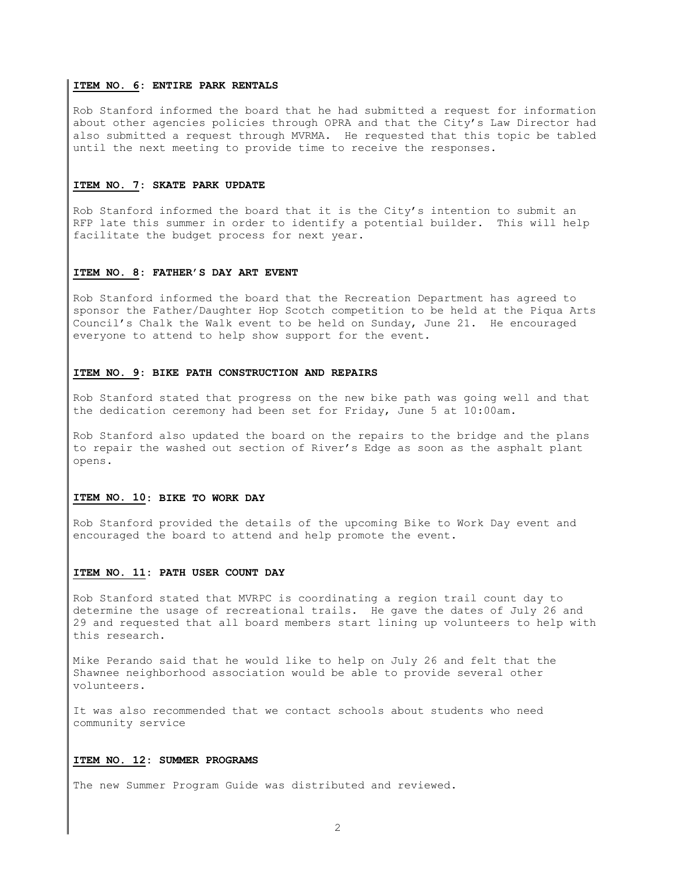## **ITEM NO. 6: ENTIRE PARK RENTALS**

Rob Stanford informed the board that he had submitted a request for information about other agencies policies through OPRA and that the City's Law Director had also submitted a request through MVRMA. He requested that this topic be tabled until the next meeting to provide time to receive the responses.

### **ITEM NO. 7: SKATE PARK UPDATE**

Rob Stanford informed the board that it is the City's intention to submit an RFP late this summer in order to identify a potential builder. This will help facilitate the budget process for next year.

## **ITEM NO. 8: FATHER'S DAY ART EVENT**

Rob Stanford informed the board that the Recreation Department has agreed to sponsor the Father/Daughter Hop Scotch competition to be held at the Piqua Arts Council's Chalk the Walk event to be held on Sunday, June 21. He encouraged everyone to attend to help show support for the event.

#### **ITEM NO. 9: BIKE PATH CONSTRUCTION AND REPAIRS**

Rob Stanford stated that progress on the new bike path was going well and that the dedication ceremony had been set for Friday, June 5 at 10:00am.

Rob Stanford also updated the board on the repairs to the bridge and the plans to repair the washed out section of River's Edge as soon as the asphalt plant opens.

### **ITEM NO. 10: BIKE TO WORK DAY**

Rob Stanford provided the details of the upcoming Bike to Work Day event and encouraged the board to attend and help promote the event.

### **ITEM NO. 11: PATH USER COUNT DAY**

Rob Stanford stated that MVRPC is coordinating a region trail count day to determine the usage of recreational trails. He gave the dates of July 26 and 29 and requested that all board members start lining up volunteers to help with this research.

Mike Perando said that he would like to help on July 26 and felt that the Shawnee neighborhood association would be able to provide several other volunteers.

It was also recommended that we contact schools about students who need community service

### **ITEM NO. 12: SUMMER PROGRAMS**

The new Summer Program Guide was distributed and reviewed.